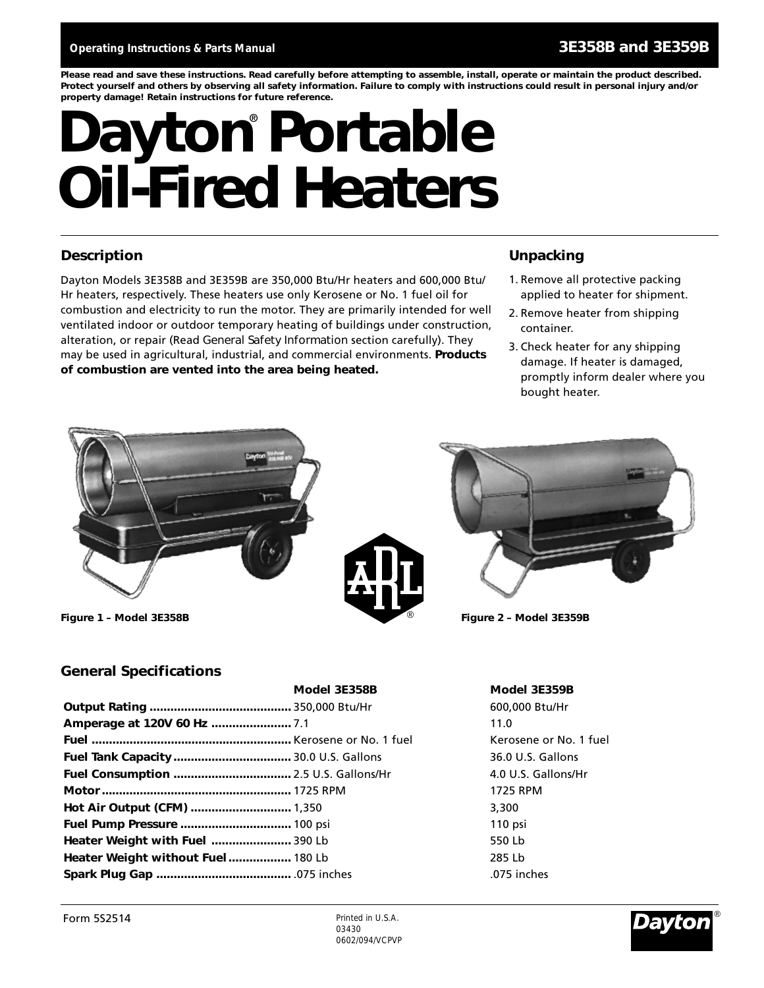*Please read and save these instructions. Read carefully before attempting to assemble, install, operate or maintain the product described. Protect yourself and others by observing all safety information. Failure to comply with instructions could result in personal injury and/or property damage! Retain instructions for future reference.*

# Dayton<sup>®</sup> Portable **Oil-Fired Heaters**

### **Description Unpacking**

Dayton Models 3E358B and 3E359B are 350,000 Btu/Hr heaters and 600,000 Btu/ Hr heaters, respectively. These heaters use only Kerosene or No. 1 fuel oil for combustion and electricity to run the motor. They are primarily intended for well ventilated indoor or outdoor temporary heating of buildings under construction, alteration, or repair (Read *General Safety Information* section carefully). They may be used in agricultural, industrial, and commercial environments. **Products of combustion are vented into the area being heated.**

- 1. Remove all protective packing applied to heater for shipment.
- 2. Remove heater from shipping container.
- 3. Check heater for any shipping damage. If heater is damaged, promptly inform dealer where you bought heater.



**Figure 1 – Model 3E358B Figure 2 – Model 3E359B**





### **General Specifications**

|                                   | Model 3E358B | Model 3E.    |
|-----------------------------------|--------------|--------------|
|                                   |              | 600,000 Bt   |
|                                   |              | 11.0         |
|                                   |              | Kerosene o   |
|                                   |              | 36.0 U.S. G. |
|                                   |              | 4.0 U.S. Ga  |
|                                   |              | 1725 RPM     |
|                                   |              | 3,300        |
| Fuel Pump Pressure  100 psi       |              | $110$ psi    |
| Heater Weight with Fuel  390 Lb   |              | 550 Lb       |
| Heater Weight without Fuel 180 Lb |              | 285 Lb       |
|                                   |              | .075 inches  |

**Model 3E358B Model 3E359B Output Rating .........................................** 350,000 Btu/Hr 600,000 Btu/Hr Kerosene or No. 1 fuel **Fuel Tank Capacity..................................** 30.0 U.S. Gallons 36.0 U.S. Gallons **Fuel Consumption ..................................** 2.5 U.S. Gallons/Hr 4.0 U.S. Gallons/Hr

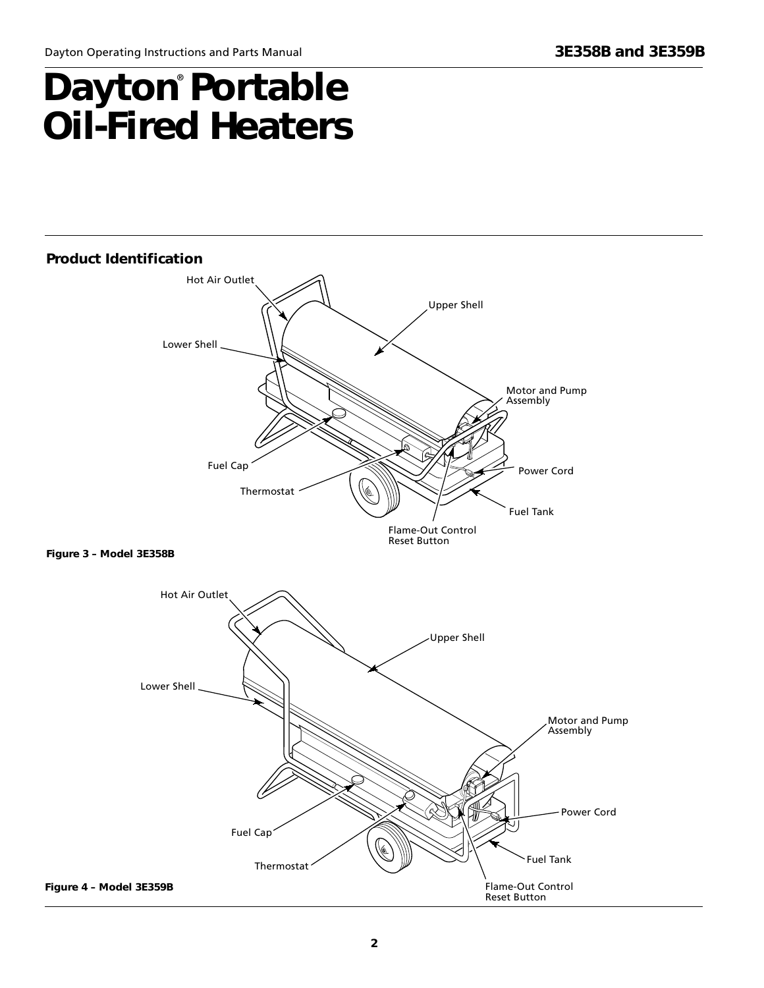### **Dayton Portable Oil-Fired Heaters** ®



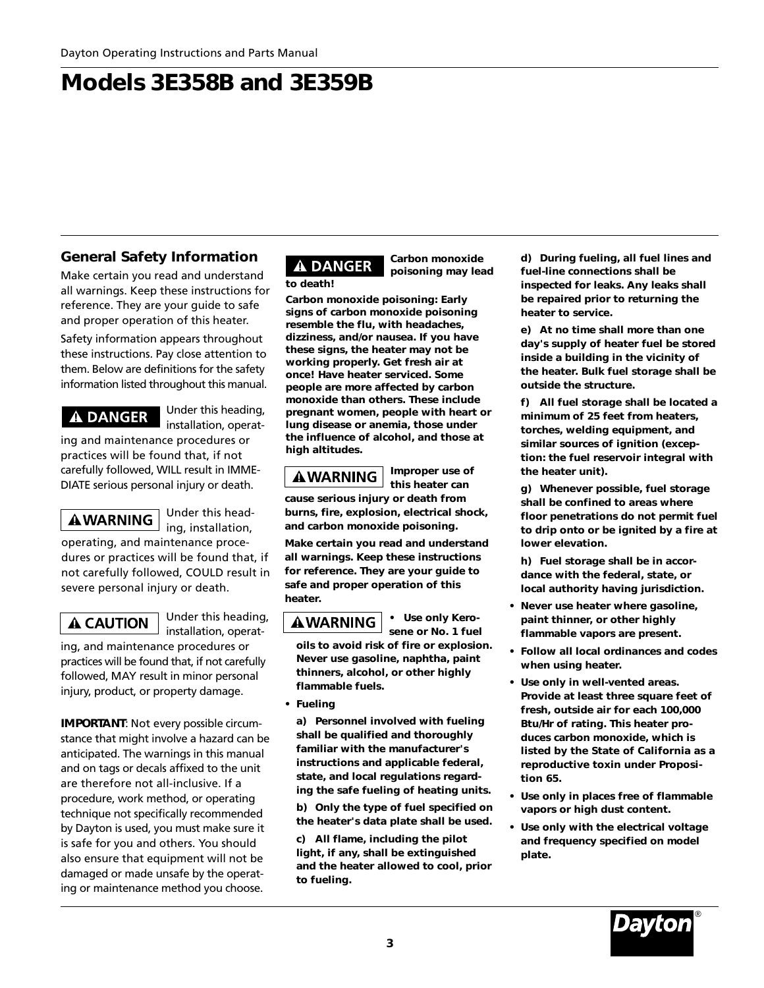### **General Safety Information**

Make certain you read and understand all warnings. Keep these instructions for reference. They are your guide to safe and proper operation of this heater.

Safety information appears throughout these instructions. Pay close attention to them. Below are definitions for the safety information listed throughout this manual.

### **A DANGER**

Under this heading, installation, operat-

ing and maintenance procedures or practices will be found that, if not carefully followed, WILL result in IMME-DIATE serious personal injury or death.

**AWARNING** 

Under this heading, installation, operating, and maintenance proce-

dures or practices will be found that, if not carefully followed, COULD result in severe personal injury or death.

A CAUTION

Under this heading, installation, operat-

ing, and maintenance procedures or practices will be found that, if not carefully followed, MAY result in minor personal injury, product, or property damage.

**IMPORTANT**: Not every possible circumstance that might involve a hazard can be anticipated. The warnings in this manual and on tags or decals affixed to the unit are therefore not all-inclusive. If a procedure, work method, or operating technique not specifically recommended by Dayton is used, you must make sure it is safe for you and others. You should also ensure that equipment will not be damaged or made unsafe by the operating or maintenance method you choose.

### **A DANGER** *to death!*

*Carbon monoxide poisoning may lead*

*Carbon monoxide poisoning: Early signs of carbon monoxide poisoning resemble the flu, with headaches, dizziness, and/or nausea. If you have these signs, the heater may not be working properly. Get fresh air at once! Have heater serviced. Some people are more affected by carbon monoxide than others. These include pregnant women, people with heart or lung disease or anemia, those under the influence of alcohol, and those at high altitudes.*

### A WARNING

*this heater can cause serious injury or death from*

*Improper use of*

*burns, fire, explosion, electrical shock, and carbon monoxide poisoning.*

*Make certain you read and understand all warnings. Keep these instructions for reference. They are your guide to safe and proper operation of this heater.*

### **A WARNING**

*• Use only Kerosene or No. 1 fuel*

*oils to avoid risk of fire or explosion. Never use gasoline, naphtha, paint thinners, alcohol, or other highly flammable fuels.*

*• Fueling*

*a) Personnel involved with fueling shall be qualified and thoroughly familiar with the manufacturer's instructions and applicable federal, state, and local regulations regarding the safe fueling of heating units.*

*b) Only the type of fuel specified on the heater's data plate shall be used.*

*c) All flame, including the pilot light, if any, shall be extinguished and the heater allowed to cool, prior to fueling.*

*d) During fueling, all fuel lines and fuel-line connections shall be inspected for leaks. Any leaks shall be repaired prior to returning the heater to service.*

*e) At no time shall more than one day's supply of heater fuel be stored inside a building in the vicinity of the heater. Bulk fuel storage shall be outside the structure.*

*f) All fuel storage shall be located a minimum of 25 feet from heaters, torches, welding equipment, and similar sources of ignition (exception: the fuel reservoir integral with the heater unit).*

*g) Whenever possible, fuel storage shall be confined to areas where floor penetrations do not permit fuel to drip onto or be ignited by a fire at lower elevation.*

*h) Fuel storage shall be in accordance with the federal, state, or local authority having jurisdiction.*

- *Never use heater where gasoline, paint thinner, or other highly flammable vapors are present.*
- *Follow all local ordinances and codes when using heater.*
- *Use only in well-vented areas. Provide at least three square feet of fresh, outside air for each 100,000 Btu/Hr of rating. This heater produces carbon monoxide, which is listed by the State of California as a reproductive toxin under Proposition 65.*
- *Use only in places free of flammable vapors or high dust content.*
- *Use only with the electrical voltage and frequency specified on model plate.*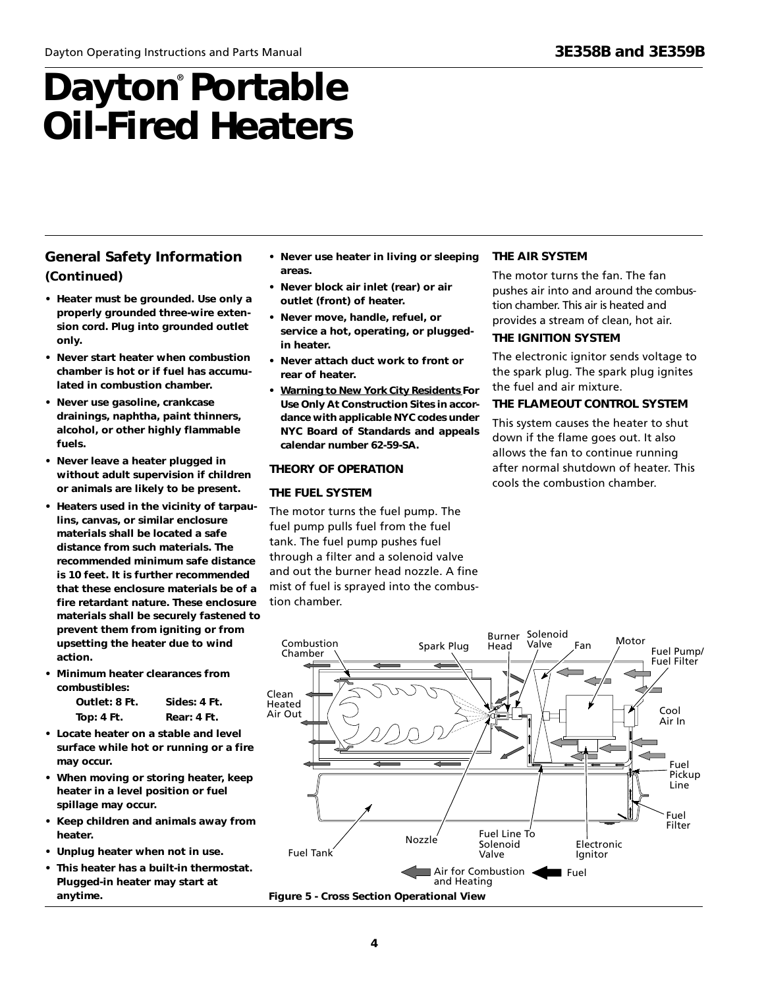### **General Safety Information (Continued)**

- *Heater must be grounded. Use only a properly grounded three-wire extension cord. Plug into grounded outlet only.*
- *Never start heater when combustion chamber is hot or if fuel has accumulated in combustion chamber.*
- *Never use gasoline, crankcase drainings, naphtha, paint thinners, alcohol, or other highly flammable fuels.*
- *Never leave a heater plugged in without adult supervision if children or animals are likely to be present.*
- *Heaters used in the vicinity of tarpaulins, canvas, or similar enclosure materials shall be located a safe distance from such materials. The recommended minimum safe distance is 10 feet. It is further recommended that these enclosure materials be of a fire retardant nature. These enclosure materials shall be securely fastened to prevent them from igniting or from upsetting the heater due to wind action.*
- *Minimum heater clearances from combustibles:*

| Outlet: 8 Ft.     | Sides: 4 Ft. |
|-------------------|--------------|
| <b>Top: 4 Ft.</b> | Rear: 4 Ft.  |

- *Locate heater on a stable and level surface while hot or running or a fire may occur.*
- *When moving or storing heater, keep heater in a level position or fuel spillage may occur.*
- *Keep children and animals away from heater.*
- *Unplug heater when not in use.*
- *This heater has a built-in thermostat. Plugged-in heater may start at anytime.*
- *Never use heater in living or sleeping areas.*
- *Never block air inlet (rear) or air outlet (front) of heater.*
- *Never move, handle, refuel, or service a hot, operating, or pluggedin heater.*
- *Never attach duct work to front or rear of heater.*
- *• Warning to New York City Residents For Use Only At Construction Sites in accordance with applicable NYC codes under NYC Board of Standards and appeals calendar number 62-59-SA.*

#### **THEORY OF OPERATION**

### **THE FUEL SYSTEM**

The motor turns the fuel pump. The fuel pump pulls fuel from the fuel tank. The fuel pump pushes fuel through a filter and a solenoid valve and out the burner head nozzle. A fine mist of fuel is sprayed into the combustion chamber.

#### **THE AIR SYSTEM**

The motor turns the fan. The fan pushes air into and around the combustion chamber. This air is heated and provides a stream of clean, hot air. **THE IGNITION SYSTEM**

The electronic ignitor sends voltage to the spark plug. The spark plug ignites the fuel and air mixture.

#### **THE FLAMEOUT CONTROL SYSTEM**

This system causes the heater to shut down if the flame goes out. It also allows the fan to continue running after normal shutdown of heater. This cools the combustion chamber.

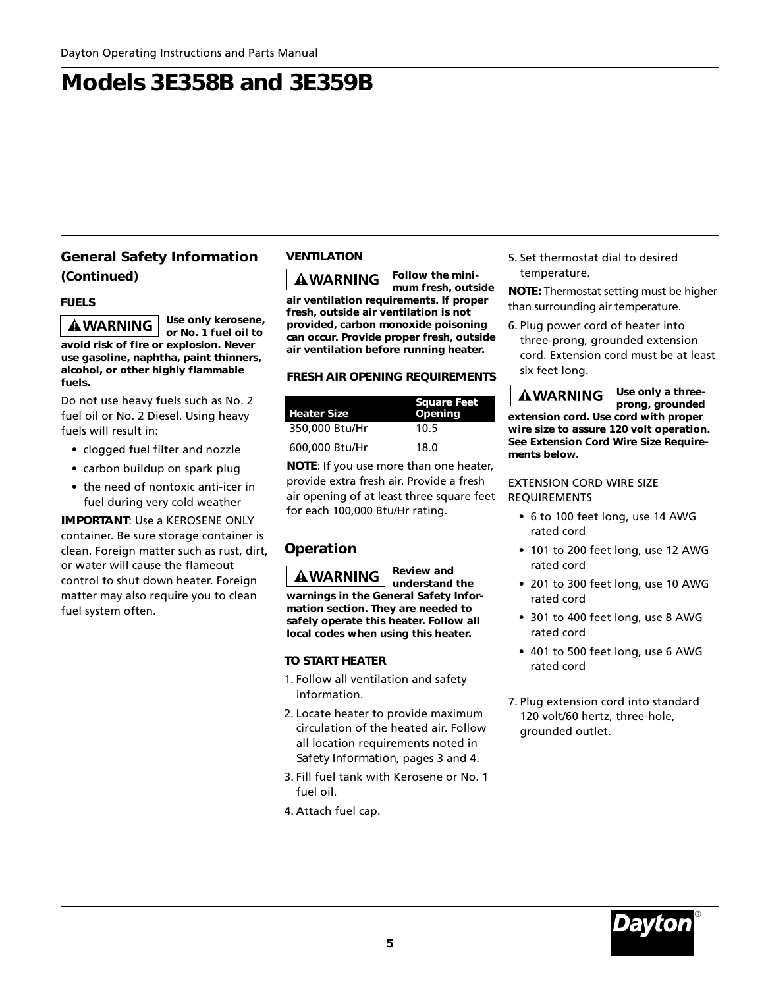### **General Safety Information (Continued)**

### **FUELS**

*Use only kerosene,* **A WARNING** *or No. 1 fuel oil to avoid risk of fire or explosion. Never use gasoline, naphtha, paint thinners, alcohol, or other highly flammable fuels.*

Do not use heavy fuels such as No. 2 fuel oil or No. 2 Diesel. Using heavy fuels will result in:

- clogged fuel filter and nozzle
- carbon buildup on spark plug
- the need of nontoxic anti-icer in fuel during very cold weather

### **IMPORTANT**: Use a KEROSENE ONLY container. Be sure storage container is clean. Foreign matter such as rust, dirt,

or water will cause the flameout control to shut down heater. Foreign matter may also require you to clean fuel system often.

### **VENTILATION**

*Follow the mini-***A WARNING** *mum fresh, outside air ventilation requirements. If proper fresh, outside air ventilation is not provided, carbon monoxide poisoning can occur. Provide proper fresh, outside air ventilation before running heater.*

### **FRESH AIR OPENING REQUIREMENTS**

| <b>Heater Size</b> | <b>Square Feet</b><br>Opening |
|--------------------|-------------------------------|
| 350,000 Btu/Hr     | 10.5                          |
| 600,000 Btu/Hr     | 18.0                          |

**NOTE***:* If you use more than one heater, provide extra fresh air. Provide a fresh air opening of at least three square feet for each 100,000 Btu/Hr rating.

### **Operation**

*Review and* **AWARNING** *understand the warnings in the General Safety Information section. They are needed to safely operate this heater. Follow all local codes when using this heater.*

### **TO START HEATER**

- 1. Follow all ventilation and safety information.
- 2. Locate heater to provide maximum circulation of the heated air. Follow all location requirements noted in *Safety Information*, pages 3 and 4.
- 3. Fill fuel tank with Kerosene or No. 1 fuel oil.
- 4. Attach fuel cap.

5. Set thermostat dial to desired temperature.

**NOTE:** Thermostat setting must be higher than surrounding air temperature.

6. Plug power cord of heater into three-prong, grounded extension

cord. Extension cord must be at least six feet long.

*Use only a three-***AWARNING** *prong, grounded extension cord. Use cord with proper wire size to assure 120 volt operation. See Extension Cord Wire Size Requirements below.*

### EXTENSION CORD WIRE SIZE **REQUIREMENTS**

- 6 to 100 feet long, use 14 AWG rated cord
- 101 to 200 feet long, use 12 AWG rated cord
- 201 to 300 feet long, use 10 AWG rated cord
- 301 to 400 feet long, use 8 AWG rated cord
- 401 to 500 feet long, use 6 AWG rated cord
- 7. Plug extension cord into standard 120 volt/60 hertz, three-hole, grounded outlet.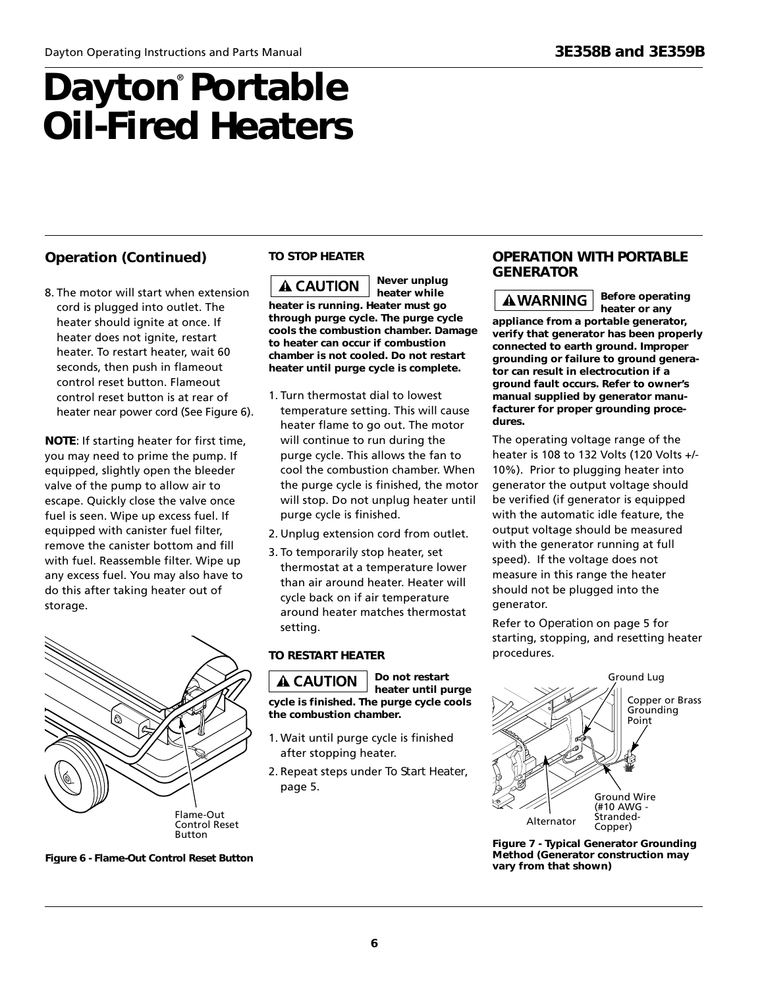### **Operation (Continued) TO STOP HEATER**

8. The motor will start when extension cord is plugged into outlet. The heater should ignite at once. If heater does not ignite, restart heater. To restart heater, wait 60 seconds, then push in flameout control reset button. Flameout control reset button is at rear of heater near power cord (See Figure 6).

**NOTE***:* If starting heater for first time, you may need to prime the pump. If equipped, slightly open the bleeder valve of the pump to allow air to escape. Quickly close the valve once fuel is seen. Wipe up excess fuel. If equipped with canister fuel filter, remove the canister bottom and fill with fuel. Reassemble filter. Wipe up any excess fuel. You may also have to do this after taking heater out of storage.



*Never unplug* **A CAUTION** *heater while heater is running. Heater must go through purge cycle. The purge cycle cools the combustion chamber. Damage to heater can occur if combustion chamber is not cooled. Do not restart heater until purge cycle is complete.*

- 1. Turn thermostat dial to lowest temperature setting. This will cause heater flame to go out. The motor will continue to run during the purge cycle. This allows the fan to cool the combustion chamber. When the purge cycle is finished, the motor will stop. Do not unplug heater until purge cycle is finished.
- 2. Unplug extension cord from outlet.
- 3. To temporarily stop heater, set thermostat at a temperature lower than air around heater. Heater will cycle back on if air temperature around heater matches thermostat setting.

*Do not restart heater until purge*

### **TO RESTART HEATER**

**A CAUTION** *cycle is finished. The purge cycle cools the combustion chamber.*

- 1. Wait until purge cycle is finished after stopping heater.
- 2. Repeat steps under *To Start Heater*, page 5.

### **OPERATION WITH PORTABLE GENERATOR**

**AWARNING** 

*Before operating heater or any*

*appliance from a portable generator, verify that generator has been properly connected to earth ground. Improper grounding or failure to ground generator can result in electrocution if a ground fault occurs. Refer to owner's manual supplied by generator manufacturer for proper grounding procedures.*

The operating voltage range of the heater is 108 to 132 Volts (120 Volts +/- 10%). Prior to plugging heater into generator the output voltage should be verified (if generator is equipped with the automatic idle feature, the output voltage should be measured with the generator running at full speed). If the voltage does not measure in this range the heater should not be plugged into the generator.

Refer to *Operation* on page 5 for starting, stopping, and resetting heater procedures.



**Figure 7 - Typical Generator Grounding Method (Generator construction may vary from that shown)**

**Figure 6 - Flame-Out Control Reset Button**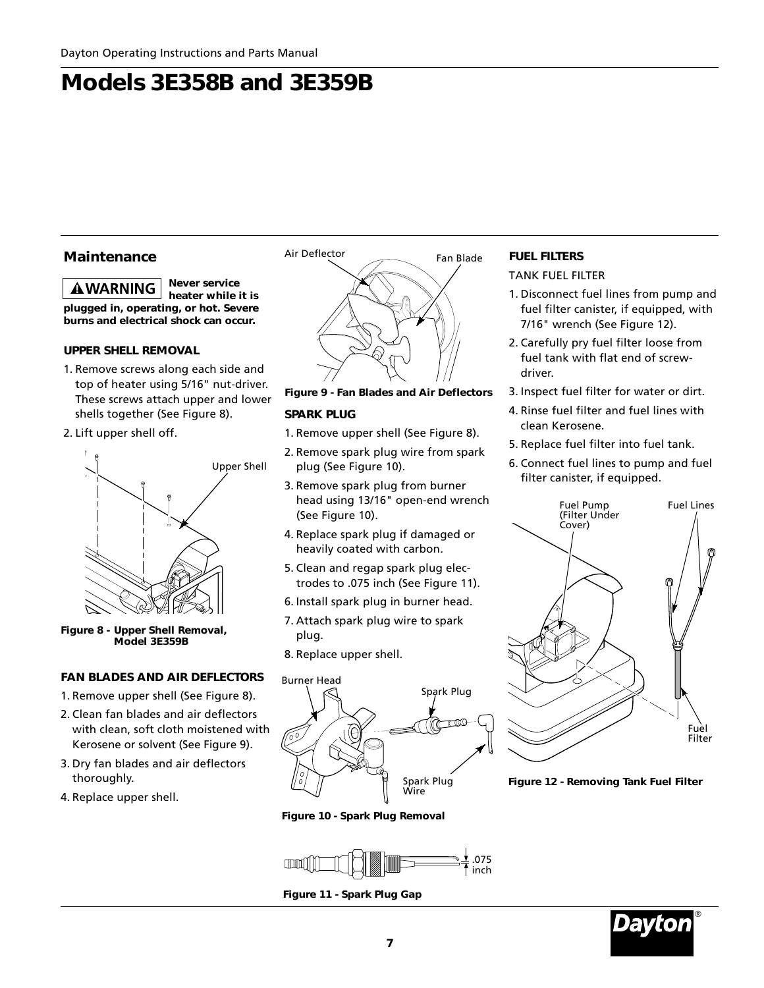### **Maintenance**

*Never service* **AWARNING** *heater while it is plugged in, operating, or hot. Severe burns and electrical shock can occur.*

### **UPPER SHELL REMOVAL**

- 1. Remove screws along each side and top of heater using 5/16" nut-driver. These screws attach upper and lower shells together (See Figure 8).
- 2. Lift upper shell off.



**Figure 8 - Upper Shell Removal, Model 3E359B**

### **FAN BLADES AND AIR DEFLECTORS**

- 1. Remove upper shell (See Figure 8).
- 2. Clean fan blades and air deflectors with clean, soft cloth moistened with Kerosene or solvent (See Figure 9).
- 3. Dry fan blades and air deflectors thoroughly.
- 4. Replace upper shell.



### **Figure 9 - Fan Blades and Air Deflectors**

#### **SPARK PLUG**

- 1. Remove upper shell (See Figure 8).
- 2. Remove spark plug wire from spark plug (See Figure 10).
- 3. Remove spark plug from burner head using 13/16" open-end wrench (See Figure 10).
- 4. Replace spark plug if damaged or heavily coated with carbon.
- 5. Clean and regap spark plug electrodes to .075 inch (See Figure 11).
- 6. Install spark plug in burner head.
- 7. Attach spark plug wire to spark plug.
- 8. Replace upper shell.



**Figure 10 - Spark Plug Removal**



**Figure 11 - Spark Plug Gap**

### **FUEL FILTERS**

TANK FUEL FILTER

- 1. Disconnect fuel lines from pump and fuel filter canister, if equipped, with 7/16" wrench (See Figure 12).
- 2. Carefully pry fuel filter loose from fuel tank with flat end of screwdriver.
- 3. Inspect fuel filter for water or dirt.
- 4. Rinse fuel filter and fuel lines with clean Kerosene.
- 5. Replace fuel filter into fuel tank.
- 6. Connect fuel lines to pump and fuel filter canister, if equipped.



**Figure 12 - Removing Tank Fuel Filter**

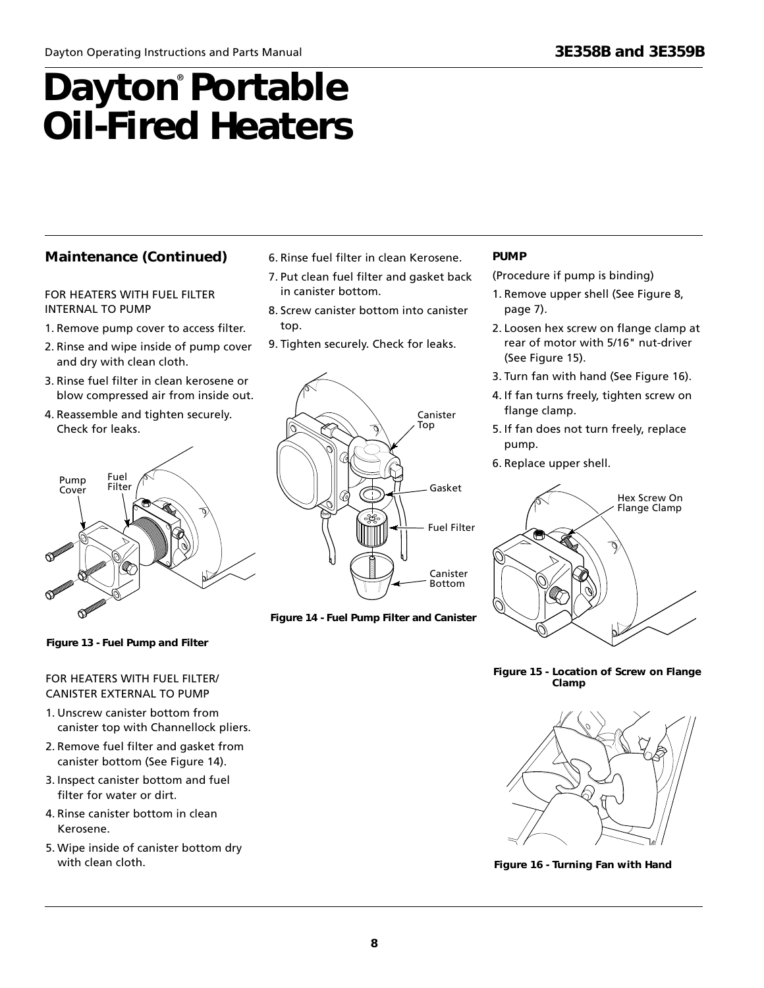### **Maintenance (Continued)**

#### FOR HEATERS WITH FUEL FILTER INTERNAL TO PUMP

- 1. Remove pump cover to access filter.
- 2. Rinse and wipe inside of pump cover and dry with clean cloth.
- 3. Rinse fuel filter in clean kerosene or blow compressed air from inside out.
- 4. Reassemble and tighten securely. Check for leaks.



- 6. Rinse fuel filter in clean Kerosene.
- 7. Put clean fuel filter and gasket back in canister bottom.
- 8. Screw canister bottom into canister top.
- 9. Tighten securely. Check for leaks.



**Figure 14 - Fuel Pump Filter and Canister**

### **PUMP**

(Procedure if pump is binding)

- 1. Remove upper shell (See Figure 8, page 7).
- 2. Loosen hex screw on flange clamp at rear of motor with 5/16" nut-driver (See Figure 15).
- 3. Turn fan with hand (See Figure 16).
- 4. If fan turns freely, tighten screw on flange clamp.
- 5. If fan does not turn freely, replace pump.
- 6. Replace upper shell.



**Figure 15 - Location of Screw on Flange Clamp**



**Figure 16 - Turning Fan with Hand**

### **Figure 13 - Fuel Pump and Filter**

### FOR HEATERS WITH FUEL FILTER/ CANISTER EXTERNAL TO PUMP

- 1. Unscrew canister bottom from canister top with Channellock pliers.
- 2. Remove fuel filter and gasket from canister bottom (See Figure 14).
- 3. Inspect canister bottom and fuel filter for water or dirt.
- 4. Rinse canister bottom in clean Kerosene.
- 5. Wipe inside of canister bottom dry with clean cloth.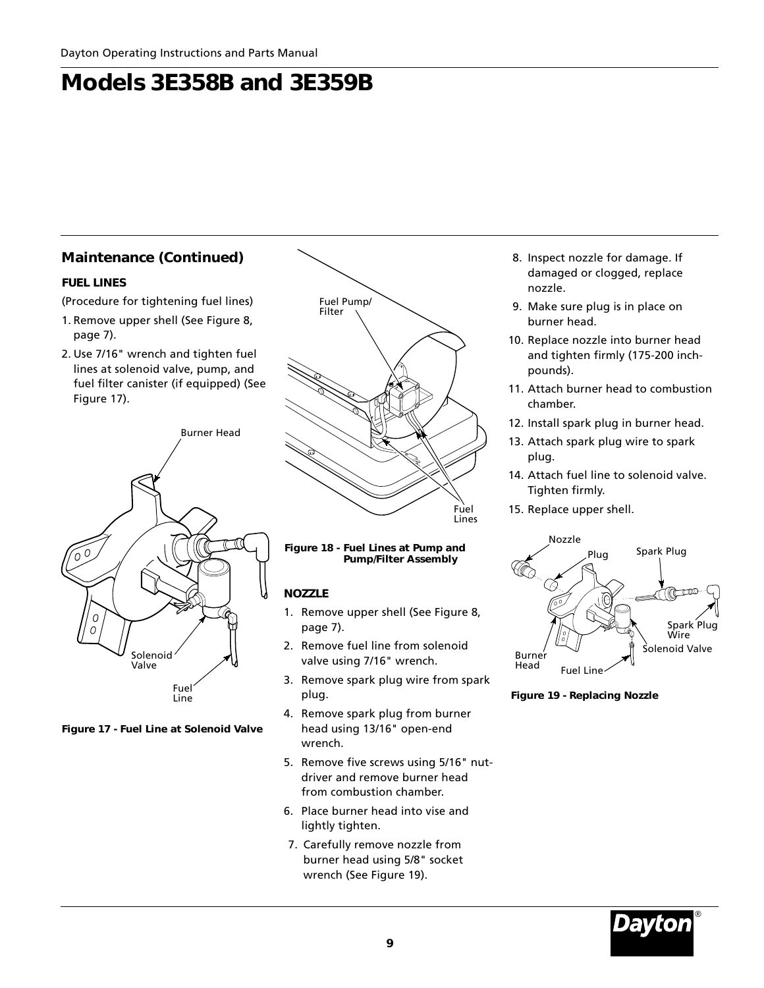### **Maintenance (Continued)**

### **FUEL LINES**

(Procedure for tightening fuel lines)

- 1. Remove upper shell (See Figure 8, page 7).
- 2. Use 7/16" wrench and tighten fuel lines at solenoid valve, pump, and fuel filter canister (if equipped) (See Figure 17).



**Figure 17 - Fuel Line at Solenoid Valve**



**Figure 18 - Fuel Lines at Pump and Pump/Filter Assembly**

### **NOZZLE**

- 1. Remove upper shell (See Figure 8, page 7).
- 2. Remove fuel line from solenoid valve using 7/16" wrench.
- 3. Remove spark plug wire from spark plug.
- 4. Remove spark plug from burner head using 13/16" open-end wrench.
- 5. Remove five screws using 5/16" nutdriver and remove burner head from combustion chamber.
- 6. Place burner head into vise and lightly tighten.
- 7. Carefully remove nozzle from burner head using 5/8" socket wrench (See Figure 19).
- 8. Inspect nozzle for damage. If damaged or clogged, replace nozzle.
- 9. Make sure plug is in place on burner head.
- 10. Replace nozzle into burner head and tighten firmly (175-200 inchpounds).
- 11. Attach burner head to combustion chamber.
- 12. Install spark plug in burner head.
- 13. Attach spark plug wire to spark plug.
- 14. Attach fuel line to solenoid valve. Tighten firmly.
- Fuel 15. Replace upper shell.<br>Lines



**Figure 19 - Replacing Nozzle**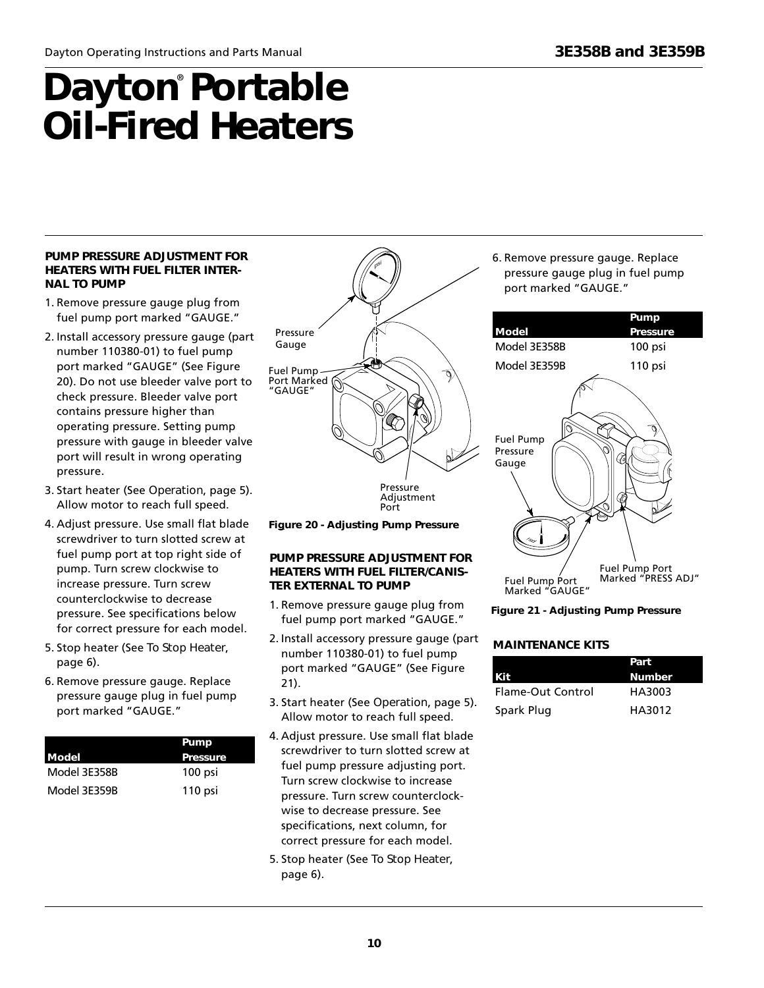#### **PUMP PRESSURE ADJUSTMENT FOR HEATERS WITH FUEL FILTER INTER-NAL TO PUMP**

- 1. Remove pressure gauge plug from fuel pump port marked "GAUGE."
- 2. Install accessory pressure gauge (part number 110380-01) to fuel pump port marked "GAUGE" (See Figure 20). Do not use bleeder valve port to check pressure. Bleeder valve port contains pressure higher than operating pressure. Setting pump pressure with gauge in bleeder valve port will result in wrong operating pressure.
- 3. Start heater (See *Operation*, page 5). Allow motor to reach full speed.
- 4. Adjust pressure. Use small flat blade screwdriver to turn slotted screw at fuel pump port at top right side of pump. Turn screw clockwise to increase pressure. Turn screw counterclockwise to decrease pressure. See specifications below for correct pressure for each model.
- 5. Stop heater (See *To Stop Heater*, page 6).
- 6. Remove pressure gauge. Replace pressure gauge plug in fuel pump port marked "GAUGE."

|              | Pump     |
|--------------|----------|
| Model        | Pressure |
| Model 3E358B | 100 psi  |
| Model 3E359B | 110 psi  |



**Figure 20 - Adjusting Pump Pressure**

### **PUMP PRESSURE ADJUSTMENT FOR HEATERS WITH FUEL FILTER/CANIS-TER EXTERNAL TO PUMP**

- 1. Remove pressure gauge plug from fuel pump port marked "GAUGE."
- 2. Install accessory pressure gauge (part number 110380-01) to fuel pump port marked "GAUGE" (See Figure 21).
- 3. Start heater (See *Operation*, page 5). Allow motor to reach full speed.
- 4. Adjust pressure. Use small flat blade screwdriver to turn slotted screw at fuel pump pressure adjusting port. Turn screw clockwise to increase pressure. Turn screw counterclockwise to decrease pressure. See specifications, next column, for correct pressure for each model.
- 5. Stop heater (See *To Stop Heater*, page 6).

6. Remove pressure gauge. Replace pressure gauge plug in fuel pump port marked "GAUGE."



**Figure 21 - Adjusting Pump Pressure**

### **MAINTENANCE KITS**

|                   | Part          |
|-------------------|---------------|
| l Kit             | <b>Number</b> |
| Flame-Out Control | HA3003        |
| Spark Plug        | HA3012        |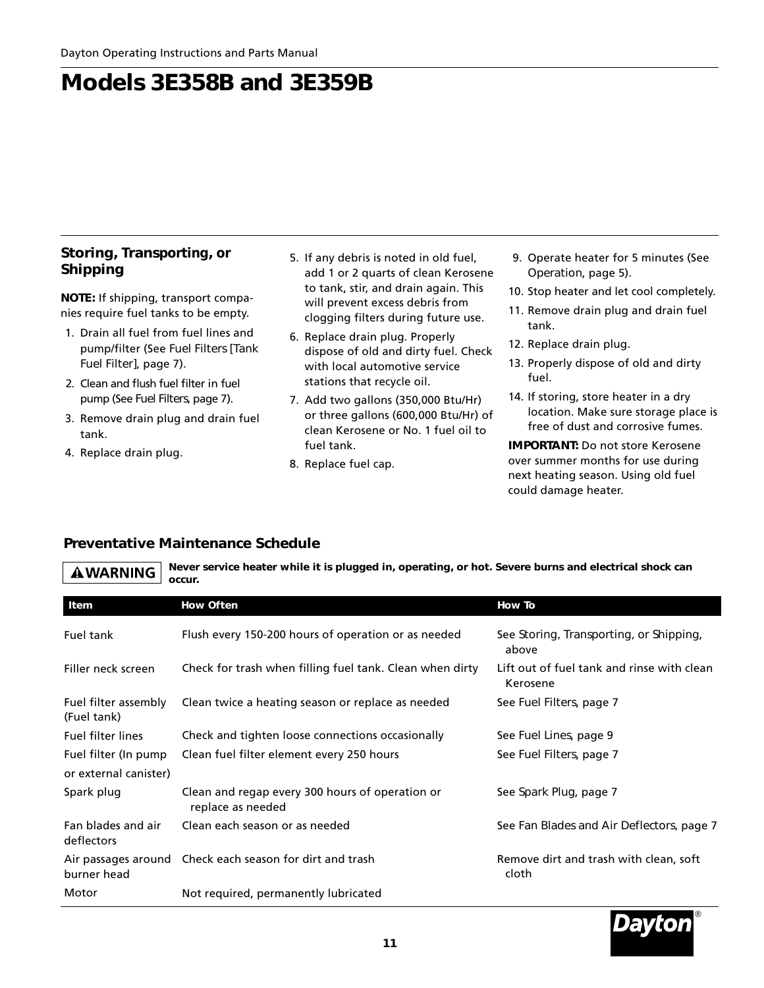### **Storing, Transporting, or Shipping**

**NOTE:** If shipping, transport companies require fuel tanks to be empty.

- 1. Drain all fuel from fuel lines and pump/filter (See *Fuel Filters [Tank Fuel Filter]*, page 7).
- 2. Clean and flush fuel filter in fuel pump (See *Fuel Filters,* page 7).
- 3. Remove drain plug and drain fuel tank.
- 4. Replace drain plug.
- 5. If any debris is noted in old fuel, add 1 or 2 quarts of clean Kerosene to tank, stir, and drain again. This will prevent excess debris from clogging filters during future use.
- 6. Replace drain plug. Properly dispose of old and dirty fuel. Check with local automotive service stations that recycle oil.
- 7. Add two gallons (350,000 Btu/Hr) or three gallons (600,000 Btu/Hr) of clean Kerosene or No. 1 fuel oil to fuel tank.
- 8. Replace fuel cap.
- 9. Operate heater for 5 minutes (See *Operation*, page 5).
- 10. Stop heater and let cool completely.
- 11. Remove drain plug and drain fuel tank.
- 12. Replace drain plug.
- 13. Properly dispose of old and dirty fuel.
- 14. If storing, store heater in a dry location. Make sure storage place is free of dust and corrosive fumes.

**IMPORTANT:** Do not store Kerosene over summer months for use during next heating season. Using old fuel could damage heater.

### **Preventative Maintenance Schedule**

*Never service heater while it is plugged in, operating, or hot. Severe burns and electrical shock can* **AWARNING** *occur.*

| Item                                          | <b>How Often</b>                                                     | <b>How To</b>                                          |
|-----------------------------------------------|----------------------------------------------------------------------|--------------------------------------------------------|
| Fuel tank                                     | Flush every 150-200 hours of operation or as needed                  | See Storing, Transporting, or Shipping,<br>above       |
| Filler neck screen                            | Check for trash when filling fuel tank. Clean when dirty             | Lift out of fuel tank and rinse with clean<br>Kerosene |
| Fuel filter assembly<br>(Fuel tank)           | Clean twice a heating season or replace as needed                    | See Fuel Filters, page 7                               |
| <b>Fuel filter lines</b>                      | Check and tighten loose connections occasionally                     | See Fuel Lines, page 9                                 |
| Fuel filter (In pump<br>or external canister) | Clean fuel filter element every 250 hours                            | See Fuel Filters, page 7                               |
| Spark plug                                    | Clean and regap every 300 hours of operation or<br>replace as needed | See Spark Plug, page 7                                 |
| Fan blades and air<br>deflectors              | Clean each season or as needed                                       | See Fan Blades and Air Deflectors, page 7              |
| burner head                                   | Air passages around Check each season for dirt and trash             | Remove dirt and trash with clean, soft<br>cloth        |
| Motor                                         | Not required, permanently lubricated                                 |                                                        |

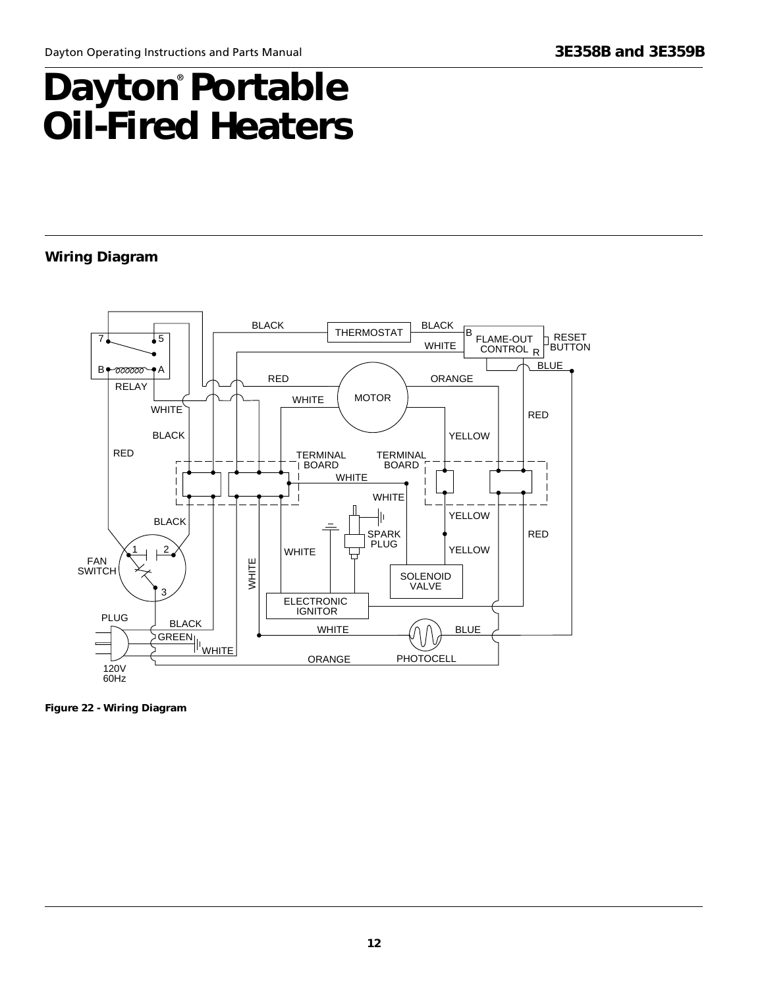### **Wiring Diagram**



**Figure 22 - Wiring Diagram**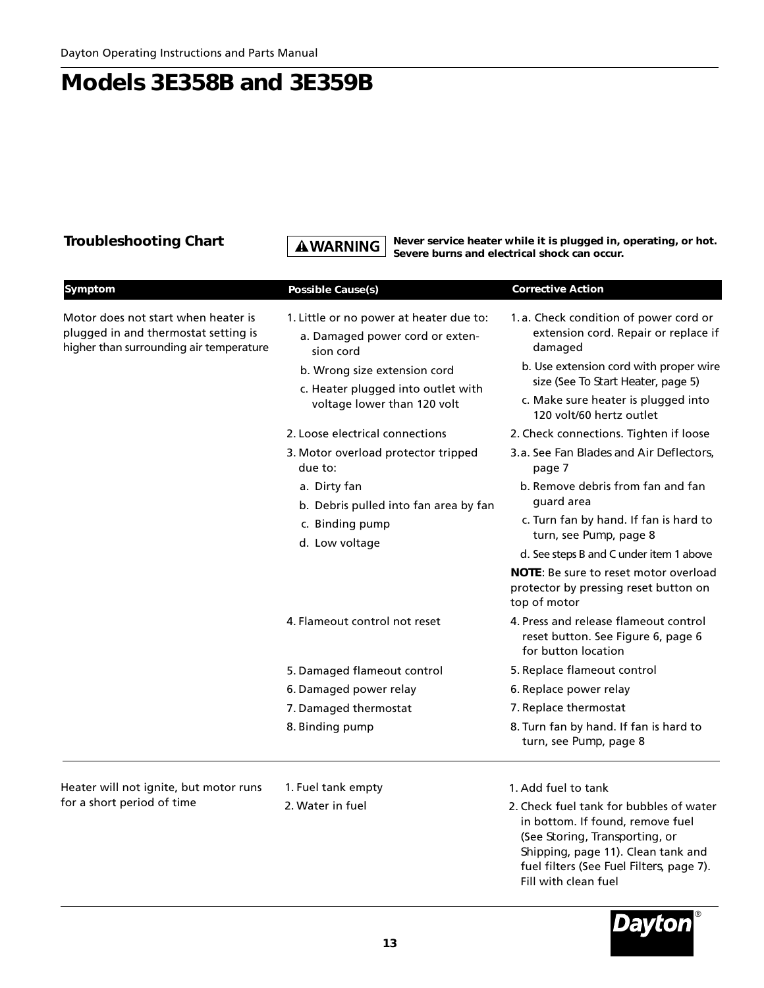**Troubleshooting Chart** *A WARNING Never service heater while it is plugged in, operating, or hot. Severe burns and electrical shock can occur.*

| Symptom                                                                                                                | <b>Possible Cause(s)</b>                                                                                                                                                                     | <b>Corrective Action</b>                                                                                                                                                                                                                    |
|------------------------------------------------------------------------------------------------------------------------|----------------------------------------------------------------------------------------------------------------------------------------------------------------------------------------------|---------------------------------------------------------------------------------------------------------------------------------------------------------------------------------------------------------------------------------------------|
| Motor does not start when heater is<br>plugged in and thermostat setting is<br>higher than surrounding air temperature | 1. Little or no power at heater due to:<br>a. Damaged power cord or exten-<br>sion cord<br>b. Wrong size extension cord<br>c. Heater plugged into outlet with<br>voltage lower than 120 volt | 1.a. Check condition of power cord or<br>extension cord. Repair or replace if<br>damaged<br>b. Use extension cord with proper wire<br>size (See To Start Heater, page 5)<br>c. Make sure heater is plugged into<br>120 volt/60 hertz outlet |
|                                                                                                                        | 2. Loose electrical connections                                                                                                                                                              | 2. Check connections. Tighten if loose                                                                                                                                                                                                      |
|                                                                                                                        | 3. Motor overload protector tripped<br>due to:                                                                                                                                               | 3.a. See Fan Blades and Air Deflectors.<br>page 7                                                                                                                                                                                           |
|                                                                                                                        | a. Dirty fan<br>b. Debris pulled into fan area by fan<br>c. Binding pump                                                                                                                     | b. Remove debris from fan and fan<br>guard area<br>c. Turn fan by hand. If fan is hard to<br>turn, see Pump, page 8                                                                                                                         |
|                                                                                                                        | d. Low voltage                                                                                                                                                                               | d. See steps B and C under item 1 above<br><b>NOTE:</b> Be sure to reset motor overload<br>protector by pressing reset button on<br>top of motor                                                                                            |
|                                                                                                                        | 4. Flameout control not reset                                                                                                                                                                | 4. Press and release flameout control<br>reset button. See Figure 6, page 6<br>for button location                                                                                                                                          |
|                                                                                                                        | 5. Damaged flameout control                                                                                                                                                                  | 5. Replace flameout control                                                                                                                                                                                                                 |
|                                                                                                                        | 6. Damaged power relay                                                                                                                                                                       | 6. Replace power relay                                                                                                                                                                                                                      |
|                                                                                                                        | 7. Damaged thermostat                                                                                                                                                                        | 7. Replace thermostat                                                                                                                                                                                                                       |
|                                                                                                                        | 8. Binding pump                                                                                                                                                                              | 8. Turn fan by hand. If fan is hard to<br>turn, see Pump, page 8                                                                                                                                                                            |
| Heater will not ignite, but motor runs                                                                                 | 1. Fuel tank empty                                                                                                                                                                           | 1. Add fuel to tank                                                                                                                                                                                                                         |
| for a short period of time                                                                                             | 2. Water in fuel                                                                                                                                                                             | 2. Check fuel tank for bubbles of water<br>in bottom. If found, remove fuel<br>(See Storing, Transporting, or<br>Shipping, page 11). Clean tank and<br>fuel filters (See Fuel Filters, page 7).                                             |



Fill with clean fuel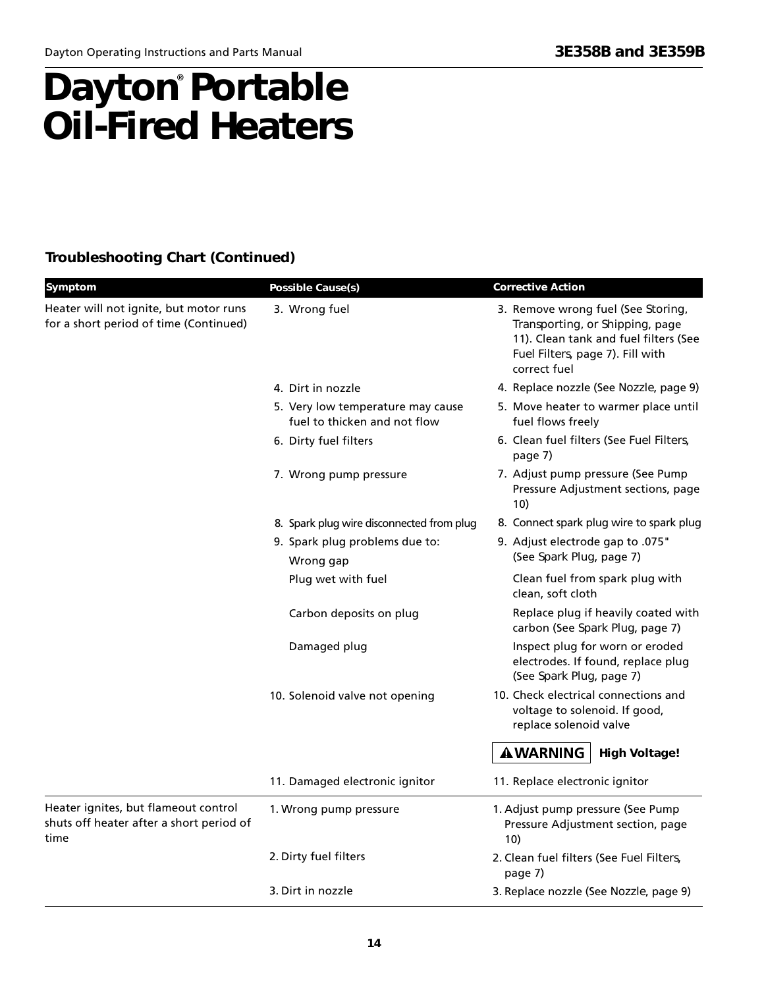### **Dayton Portable Oil-Fired Heaters** ®

### **Troubleshooting Chart (Continued)**

| Symptom                                                                                  | <b>Possible Cause(s)</b>                                          | <b>Corrective Action</b>                                                                                                                                           |
|------------------------------------------------------------------------------------------|-------------------------------------------------------------------|--------------------------------------------------------------------------------------------------------------------------------------------------------------------|
| Heater will not ignite, but motor runs<br>for a short period of time (Continued)         | 3. Wrong fuel                                                     | 3. Remove wrong fuel (See Storing,<br>Transporting, or Shipping, page<br>11). Clean tank and fuel filters (See<br>Fuel Filters, page 7). Fill with<br>correct fuel |
|                                                                                          | 4. Dirt in nozzle                                                 | 4. Replace nozzle (See Nozzle, page 9)                                                                                                                             |
|                                                                                          | 5. Very low temperature may cause<br>fuel to thicken and not flow | 5. Move heater to warmer place until<br>fuel flows freely                                                                                                          |
|                                                                                          | 6. Dirty fuel filters                                             | 6. Clean fuel filters (See Fuel Filters,<br>page 7)                                                                                                                |
|                                                                                          | 7. Wrong pump pressure                                            | 7. Adjust pump pressure (See Pump<br>Pressure Adjustment sections, page<br>10)                                                                                     |
|                                                                                          | 8. Spark plug wire disconnected from plug                         | 8. Connect spark plug wire to spark plug                                                                                                                           |
|                                                                                          | 9. Spark plug problems due to:<br>Wrong gap                       | 9. Adjust electrode gap to .075"<br>(See Spark Plug, page 7)                                                                                                       |
|                                                                                          | Plug wet with fuel                                                | Clean fuel from spark plug with<br>clean, soft cloth                                                                                                               |
|                                                                                          | Carbon deposits on plug                                           | Replace plug if heavily coated with<br>carbon (See Spark Plug, page 7)                                                                                             |
|                                                                                          | Damaged plug                                                      | Inspect plug for worn or eroded<br>electrodes. If found, replace plug<br>(See Spark Plug, page 7)                                                                  |
|                                                                                          | 10. Solenoid valve not opening                                    | 10. Check electrical connections and<br>voltage to solenoid. If good,<br>replace solenoid valve                                                                    |
|                                                                                          |                                                                   | <b>AWARNING</b><br><b>High Voltage!</b>                                                                                                                            |
|                                                                                          | 11. Damaged electronic ignitor                                    | 11. Replace electronic ignitor                                                                                                                                     |
| Heater ignites, but flameout control<br>shuts off heater after a short period of<br>time | 1. Wrong pump pressure                                            | 1. Adjust pump pressure (See Pump<br>Pressure Adjustment section, page<br>10)                                                                                      |
|                                                                                          | 2. Dirty fuel filters                                             | 2. Clean fuel filters (See Fuel Filters,<br>page 7)                                                                                                                |
|                                                                                          | 3. Dirt in nozzle                                                 | 3. Replace nozzle (See Nozzle, page 9)                                                                                                                             |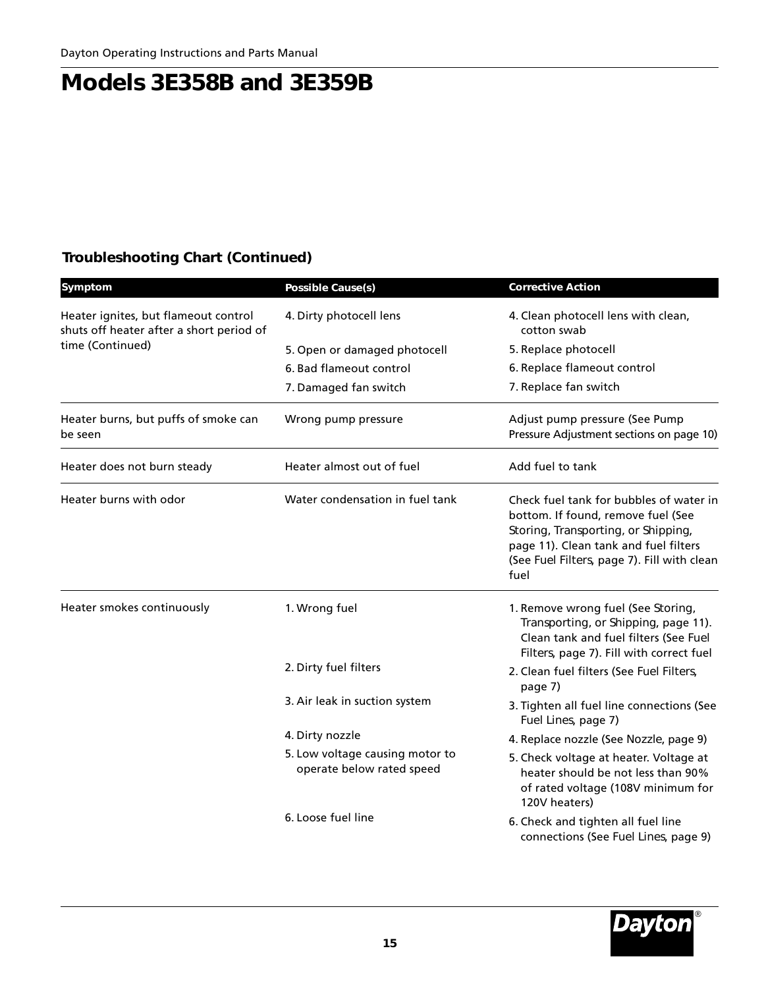### **Troubleshooting Chart (Continued)**

| Symptom                                                                          | <b>Possible Cause(s)</b>                                     | <b>Corrective Action</b>                                                                                                                                                                                             |
|----------------------------------------------------------------------------------|--------------------------------------------------------------|----------------------------------------------------------------------------------------------------------------------------------------------------------------------------------------------------------------------|
| Heater ignites, but flameout control<br>shuts off heater after a short period of | 4. Dirty photocell lens                                      | 4. Clean photocell lens with clean,<br>cotton swab                                                                                                                                                                   |
| time (Continued)                                                                 | 5. Open or damaged photocell                                 | 5. Replace photocell                                                                                                                                                                                                 |
|                                                                                  | 6. Bad flameout control                                      | 6. Replace flameout control                                                                                                                                                                                          |
|                                                                                  | 7. Damaged fan switch                                        | 7. Replace fan switch                                                                                                                                                                                                |
| Heater burns, but puffs of smoke can<br>be seen                                  | Wrong pump pressure                                          | Adjust pump pressure (See Pump<br>Pressure Adjustment sections on page 10)                                                                                                                                           |
| Heater does not burn steady                                                      | Heater almost out of fuel                                    | Add fuel to tank                                                                                                                                                                                                     |
| Heater burns with odor                                                           | Water condensation in fuel tank                              | Check fuel tank for bubbles of water in<br>bottom. If found, remove fuel (See<br>Storing, Transporting, or Shipping,<br>page 11). Clean tank and fuel filters<br>(See Fuel Filters, page 7). Fill with clean<br>fuel |
| Heater smokes continuously                                                       | 1. Wrong fuel                                                | 1. Remove wrong fuel (See Storing,<br>Transporting, or Shipping, page 11).<br>Clean tank and fuel filters (See Fuel<br>Filters, page 7). Fill with correct fuel                                                      |
|                                                                                  | 2. Dirty fuel filters                                        | 2. Clean fuel filters (See Fuel Filters,<br>page 7)                                                                                                                                                                  |
|                                                                                  | 3. Air leak in suction system                                | 3. Tighten all fuel line connections (See<br>Fuel Lines, page 7)                                                                                                                                                     |
|                                                                                  | 4. Dirty nozzle                                              | 4. Replace nozzle (See Nozzle, page 9)                                                                                                                                                                               |
|                                                                                  | 5. Low voltage causing motor to<br>operate below rated speed | 5. Check voltage at heater. Voltage at<br>heater should be not less than 90%<br>of rated voltage (108V minimum for<br>120V heaters)                                                                                  |
|                                                                                  | 6. Loose fuel line                                           | 6. Check and tighten all fuel line<br>connections (See Fuel Lines, page 9)                                                                                                                                           |

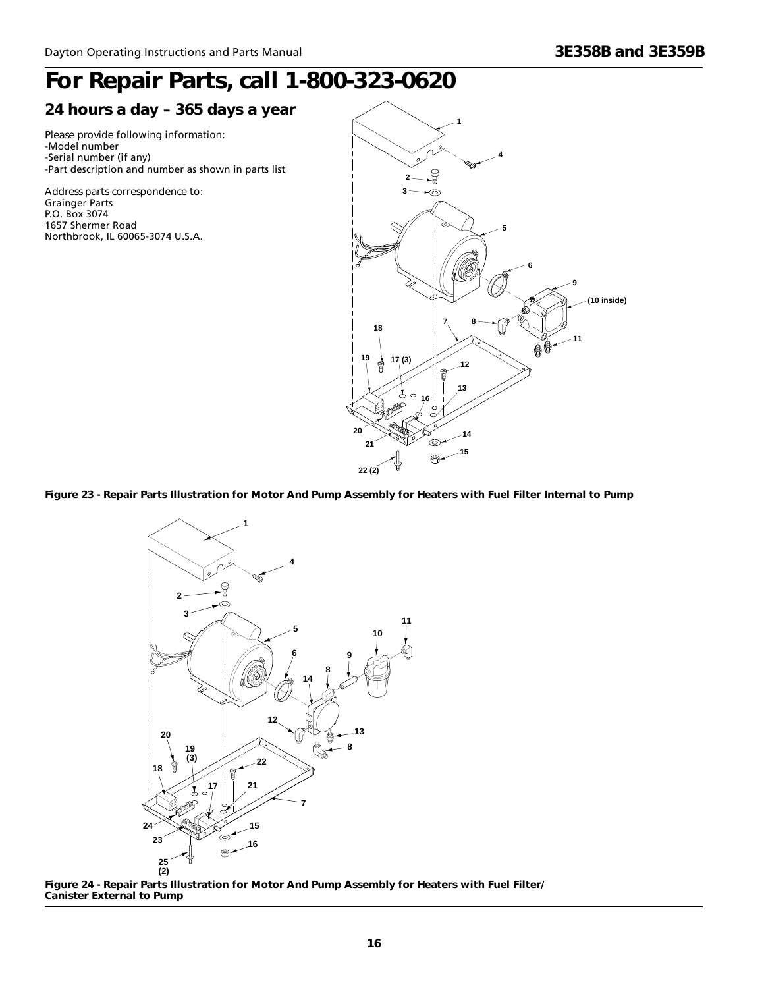# *For Repair Parts, call 1-800-323-0620*

### *24 hours a day – 365 days a year*

**24 TIOUTS a Uay – 303 Uays a year**<br>Please provide following information:<br>-Model number -Model number -Serial number (if any) -Part description and number as shown in parts list

*Address parts correspondence to:* Grainger Parts P.O. Box 3074 1657 Shermer Road Northbrook, IL 60065-3074 U.S.A.



**Figure 23 - Repair Parts Illustration for Motor And Pump Assembly for Heaters with Fuel Filter Internal to Pump**



**Figure 24 - Repair Parts Illustration for Motor And Pump Assembly for Heaters with Fuel Filter/ Canister External to Pump**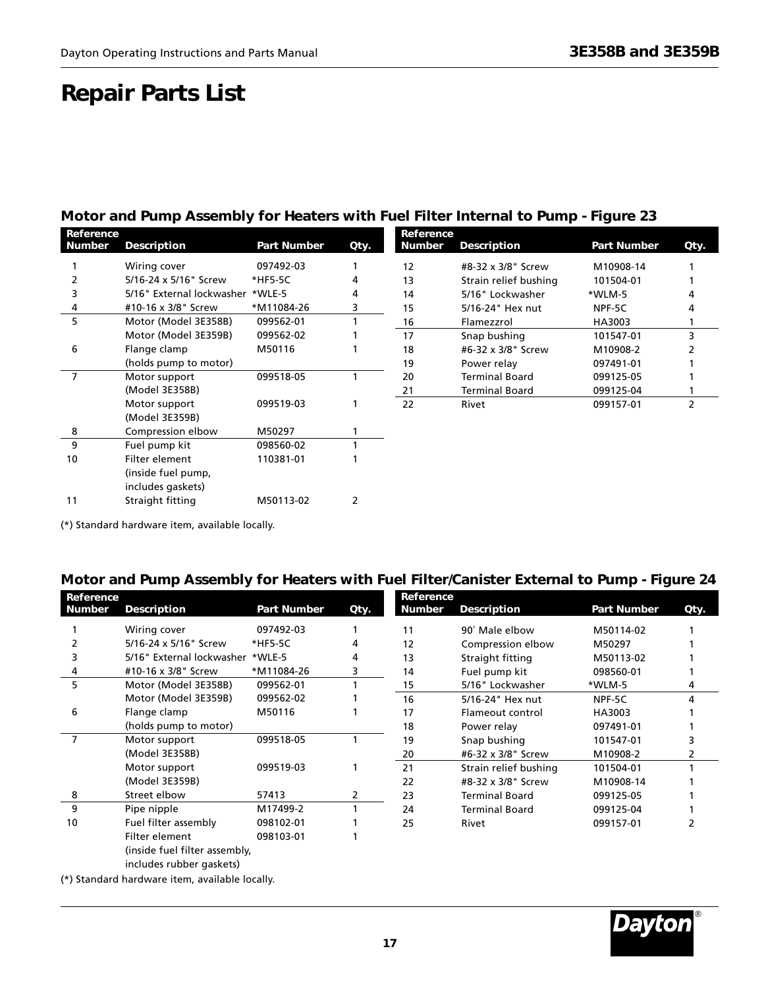### **Repair Parts List**

### **Motor and Pump Assembly for Heaters with Fuel Filter Internal to Pump - Figure 23**

| Reference     |                                  |                    |      | Reference     |                       |                    |      |
|---------------|----------------------------------|--------------------|------|---------------|-----------------------|--------------------|------|
| <b>Number</b> | <b>Description</b>               | <b>Part Number</b> | Qty. | <b>Number</b> | <b>Description</b>    | <b>Part Number</b> | Qty. |
|               | Wiring cover                     | 097492-03          |      | 12            | #8-32 x 3/8" Screw    | M10908-14          |      |
|               | 5/16-24 x 5/16" Screw            | *HF5-5C            | 4    | 13            | Strain relief bushing | 101504-01          |      |
|               | 5/16" External lockwasher *WLE-5 |                    | 4    | 14            | 5/16" Lockwasher      | *WLM-5             |      |
| 4             | #10-16 x 3/8" Screw              | *M11084-26         | 3    | 15            | 5/16-24" Hex nut      | NPF-5C             |      |
| 5             | Motor (Model 3E358B)             | 099562-01          |      | 16            | Flamezzrol            | HA3003             |      |
|               | Motor (Model 3E359B)             | 099562-02          |      | 17            | Snap bushing          | 101547-01          | 3    |
| 6             | Flange clamp                     | M50116             |      | 18            | #6-32 x 3/8" Screw    | M10908-2           |      |
|               | (holds pump to motor)            |                    |      | 19            | Power relay           | 097491-01          |      |
| 7             | Motor support                    | 099518-05          |      | 20            | <b>Terminal Board</b> | 099125-05          |      |
|               | (Model 3E358B)                   |                    |      | 21            | <b>Terminal Board</b> | 099125-04          |      |
|               | Motor support                    | 099519-03          |      | 22            | Rivet                 | 099157-01          | 2    |
|               | (Model 3E359B)                   |                    |      |               |                       |                    |      |
| 8             | Compression elbow                | M50297             |      |               |                       |                    |      |
| 9             | Fuel pump kit                    | 098560-02          |      |               |                       |                    |      |
| 10            | Filter element                   | 110381-01          |      |               |                       |                    |      |
|               | (inside fuel pump,               |                    |      |               |                       |                    |      |
|               | includes gaskets)                |                    |      |               |                       |                    |      |

(\*) Standard hardware item, available locally.

11 Straight fitting M50113-02 2

### **Motor and Pump Assembly for Heaters with Fuel Filter/Canister External to Pump - Figure 24**

| Reference     |                                  |                    |      | Reference     |                       |                    |      |
|---------------|----------------------------------|--------------------|------|---------------|-----------------------|--------------------|------|
| <b>Number</b> | <b>Description</b>               | <b>Part Number</b> | Qty. | <b>Number</b> | Description           | <b>Part Number</b> | Qty. |
|               | Wiring cover                     | 097492-03          |      | 11            | 90° Male elbow        | M50114-02          |      |
|               | 5/16-24 x 5/16" Screw            | *HF5-5C            | 4    | 12            | Compression elbow     | M50297             |      |
|               | 5/16" External lockwasher *WLE-5 |                    | 4    | 13            | Straight fitting      | M50113-02          |      |
|               | #10-16 x 3/8" Screw              | *M11084-26         | 3    | 14            | Fuel pump kit         | 098560-01          |      |
| 5             | Motor (Model 3E358B)             | 099562-01          |      | 15            | 5/16" Lockwasher      | *WLM-5             | 4    |
|               | Motor (Model 3E359B)             | 099562-02          |      | 16            | 5/16-24" Hex nut      | NPF-5C             | 4    |
| 6             | Flange clamp                     | M50116             |      | 17            | Flameout control      | HA3003             |      |
|               | (holds pump to motor)            |                    |      | 18            | Power relay           | 097491-01          |      |
| 7             | Motor support                    | 099518-05          |      | 19            | Snap bushing          | 101547-01          |      |
|               | (Model 3E358B)                   |                    |      | 20            | #6-32 x 3/8" Screw    | M10908-2           |      |
|               | Motor support                    | 099519-03          |      | 21            | Strain relief bushing | 101504-01          |      |
|               | (Model 3E359B)                   |                    |      | 22            | #8-32 x 3/8" Screw    | M10908-14          |      |
| 8             | Street elbow                     | 57413              | 2    | 23            | <b>Terminal Board</b> | 099125-05          |      |
| 9             | Pipe nipple                      | M17499-2           |      | 24            | <b>Terminal Board</b> | 099125-04          |      |
| 10            | Fuel filter assembly             | 098102-01          |      | 25            | Rivet                 | 099157-01          |      |
|               | Filter element                   | 098103-01          |      |               |                       |                    |      |
|               | (inside fuel filter assembly,    |                    |      |               |                       |                    |      |

includes rubber gaskets)

(\*) Standard hardware item, available locally.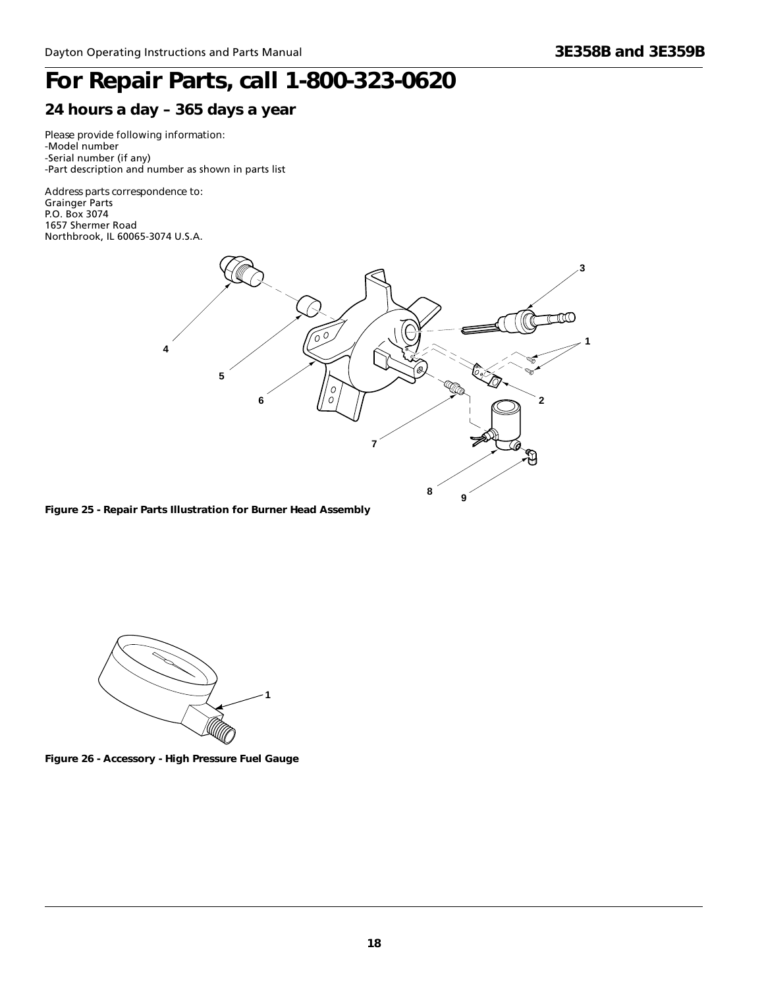# *For Repair Parts, call 1-800-323-0620*

### *24 hours a day – 365 days a year*

**24 TIOUTS a Uay – 303 Uays a year**<br>Please provide following information:<br>-Model number -Model number -Serial number (if any) -Part description and number as shown in parts list

*Address parts correspondence to:* Grainger Parts P.O. Box 3074 1657 Shermer Road Northbrook, IL 60065-3074 U.S.A.



**Figure 25 - Repair Parts Illustration for Burner Head Assembly**



**Figure 26 - Accessory - High Pressure Fuel Gauge**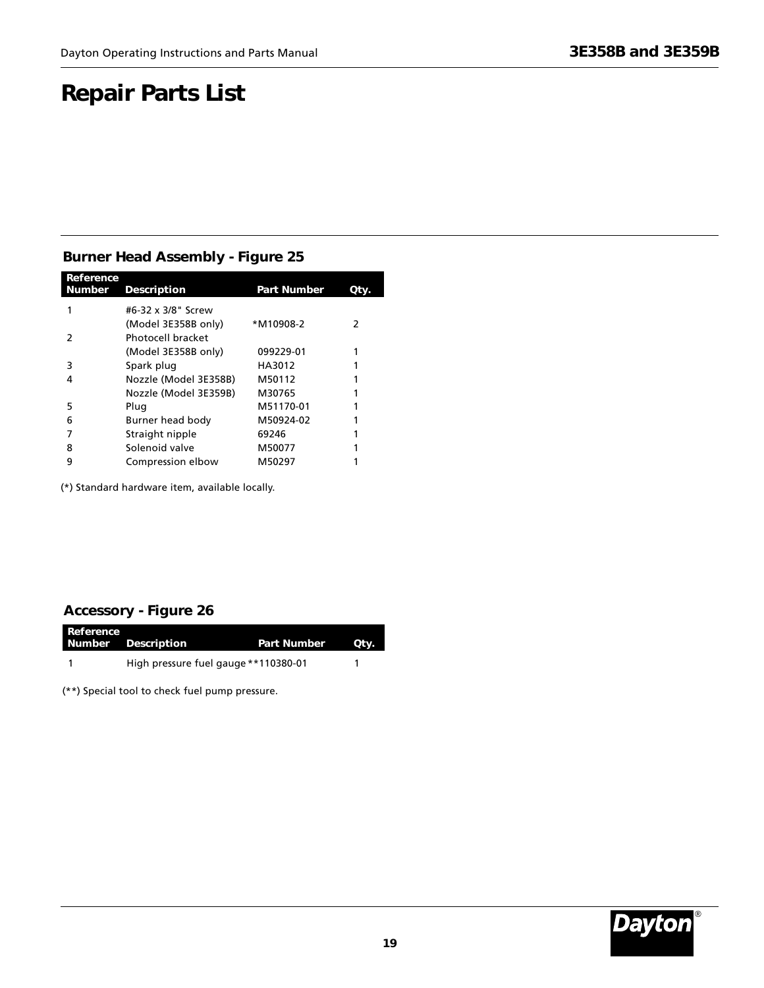## **Repair Parts List**

### **Burner Head Assembly - Figure 25**

| Reference<br><b>Number</b> | <b>Description</b>    | <b>Part Number</b> | Qty.          |
|----------------------------|-----------------------|--------------------|---------------|
|                            | #6-32 x 3/8" Screw    |                    |               |
|                            | (Model 3E358B only)   | *M10908-2          | $\mathcal{P}$ |
| 2                          | Photocell bracket     |                    |               |
|                            | (Model 3E358B only)   | 099229-01          |               |
| 3                          | Spark plug            | HA3012             |               |
| 4                          | Nozzle (Model 3E358B) | M50112             |               |
|                            | Nozzle (Model 3E359B) | M30765             |               |
| 5                          | Plug                  | M51170-01          |               |
| 6                          | Burner head body      | M50924-02          |               |
|                            | Straight nipple       | 69246              |               |
| 8                          | Solenoid valve        | M50077             |               |
| 9                          | Compression elbow     | M50297             |               |

(\*) Standard hardware item, available locally.

### **Accessory - Figure 26**

| Reference | Number Description                   | <b>Part Number</b> | Qtv. |
|-----------|--------------------------------------|--------------------|------|
|           | High pressure fuel gauge **110380-01 |                    |      |

(\*\*) Special tool to check fuel pump pressure.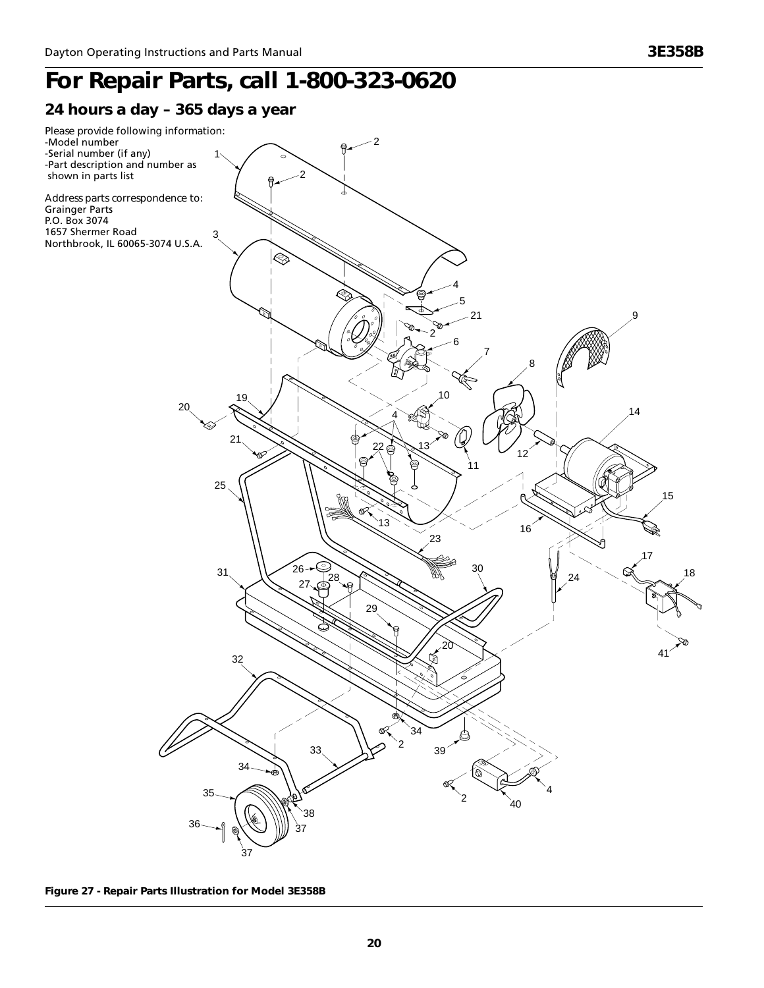# *For Repair Parts, call 1-800-323-0620*

### *24 hours a day – 365 days a year*



**Figure 27 - Repair Parts Illustration for Model 3E358B**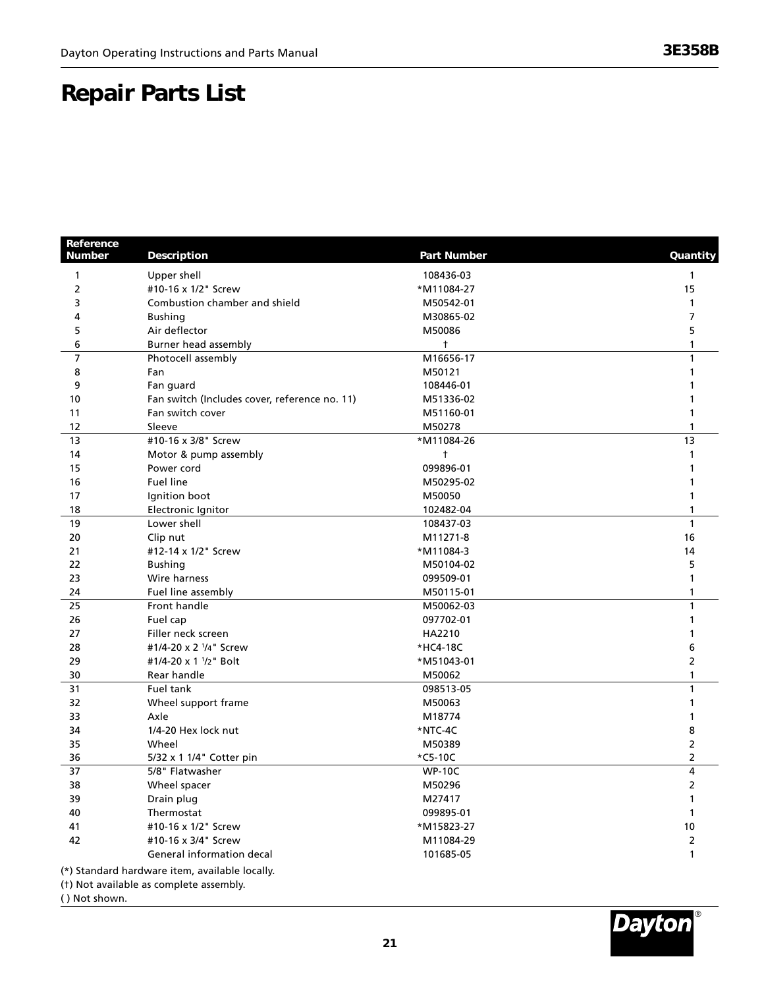### **Danair Darts I ist Repair Parts List**

| Reference<br><b>Number</b> | Description                                    | <b>Part Number</b> | Quantity       |
|----------------------------|------------------------------------------------|--------------------|----------------|
| $\mathbf{1}$               | Upper shell                                    | 108436-03          | 1              |
| $\overline{2}$             | #10-16 x 1/2" Screw                            | *M11084-27         | 15             |
| 3                          | Combustion chamber and shield                  | M50542-01          | $\mathbf{1}$   |
| 4                          | <b>Bushing</b>                                 | M30865-02          | $\overline{7}$ |
| 5                          | Air deflector                                  | M50086             | 5              |
| 6                          | Burner head assembly                           | $^{\dagger}$       | $\mathbf{1}$   |
| $\overline{7}$             | Photocell assembly                             | M16656-17          | $\mathbf{1}$   |
| 8                          | Fan                                            | M50121             | $\mathbf{1}$   |
| 9                          | Fan guard                                      | 108446-01          | 1              |
| 10                         | Fan switch (Includes cover, reference no. 11)  | M51336-02          |                |
| 11                         | Fan switch cover                               | M51160-01          | 1              |
| 12                         | Sleeve                                         | M50278             | 1              |
| 13                         | #10-16 x 3/8" Screw                            | *M11084-26         | 13             |
| 14                         | Motor & pump assembly                          | $\ddagger$         | $\mathbf{1}$   |
| 15                         | Power cord                                     | 099896-01          | 1              |
| 16                         | Fuel line                                      | M50295-02          | $\mathbf{1}$   |
| 17                         | Ignition boot                                  | M50050             | $\mathbf{1}$   |
| 18                         | Electronic Ignitor                             | 102482-04          | $\mathbf{1}$   |
| 19                         | Lower shell                                    | 108437-03          | $\mathbf{1}$   |
| 20                         | Clip nut                                       | M11271-8           | 16             |
| 21                         | #12-14 x 1/2" Screw                            | *M11084-3          | 14             |
| 22                         | <b>Bushing</b>                                 | M50104-02          | 5              |
| 23                         | Wire harness                                   | 099509-01          | $\mathbf{1}$   |
| 24                         | Fuel line assembly                             | M50115-01          | $\mathbf{1}$   |
| 25                         | Front handle                                   | M50062-03          | $\mathbf{1}$   |
| 26                         | Fuel cap                                       | 097702-01          | $\mathbf{1}$   |
| 27                         | Filler neck screen                             | HA2210             | $\mathbf{1}$   |
| 28                         | #1/4-20 x 2 <sup>1</sup> /4" Screw             | *HC4-18C           | 6              |
| 29                         | #1/4-20 x 1 <sup>1</sup> /2" Bolt              | *M51043-01         | 2              |
| 30                         | Rear handle                                    | M50062             | $\mathbf{1}$   |
| 31                         | Fuel tank                                      | 098513-05          | $\mathbf{1}$   |
| 32                         | Wheel support frame                            | M50063             | $\mathbf{1}$   |
| 33                         | Axle                                           | M18774             | $\mathbf{1}$   |
| 34                         | 1/4-20 Hex lock nut                            | *NTC-4C            | 8              |
| 35                         | Wheel                                          | M50389             | $\overline{2}$ |
| 36                         | 5/32 x 1 1/4" Cotter pin                       | *C5-10C            | 2              |
| 37                         | 5/8" Flatwasher                                | <b>WP-10C</b>      | 4              |
| 38                         | Wheel spacer                                   | M50296             | $\overline{2}$ |
| 39                         | Drain plug                                     | M27417             | 1              |
| 40                         | Thermostat                                     | 099895-01          | $\mathbf{1}$   |
| 41                         | #10-16 x 1/2" Screw                            | *M15823-27         | 10             |
| 42                         | #10-16 x 3/4" Screw                            | M11084-29          | 2              |
|                            | General information decal                      | 101685-05          | $\mathbf{1}$   |
|                            | (*) Standard hardware item, available locally. |                    |                |
|                            | (t) Not available as complete assembly.        |                    |                |

( ) Not shown.

®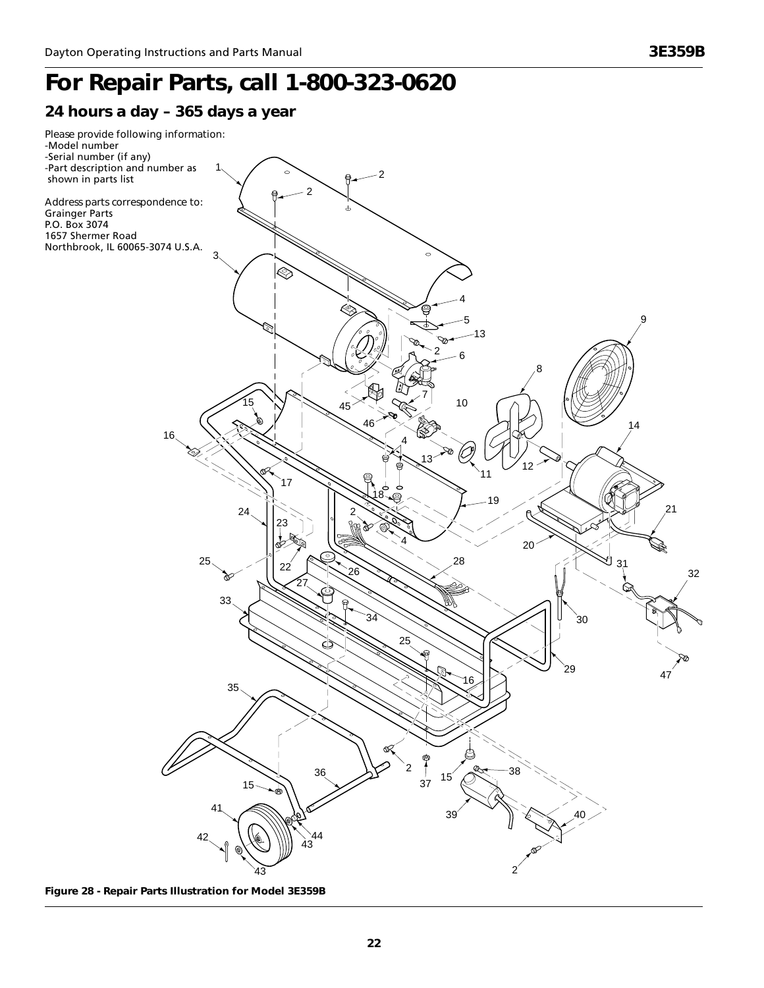# **Dayton Portable** ® *For Repair Parts, call 1-800-323-0620*



**Figure 28 - Repair Parts Illustration for Model 3E359B**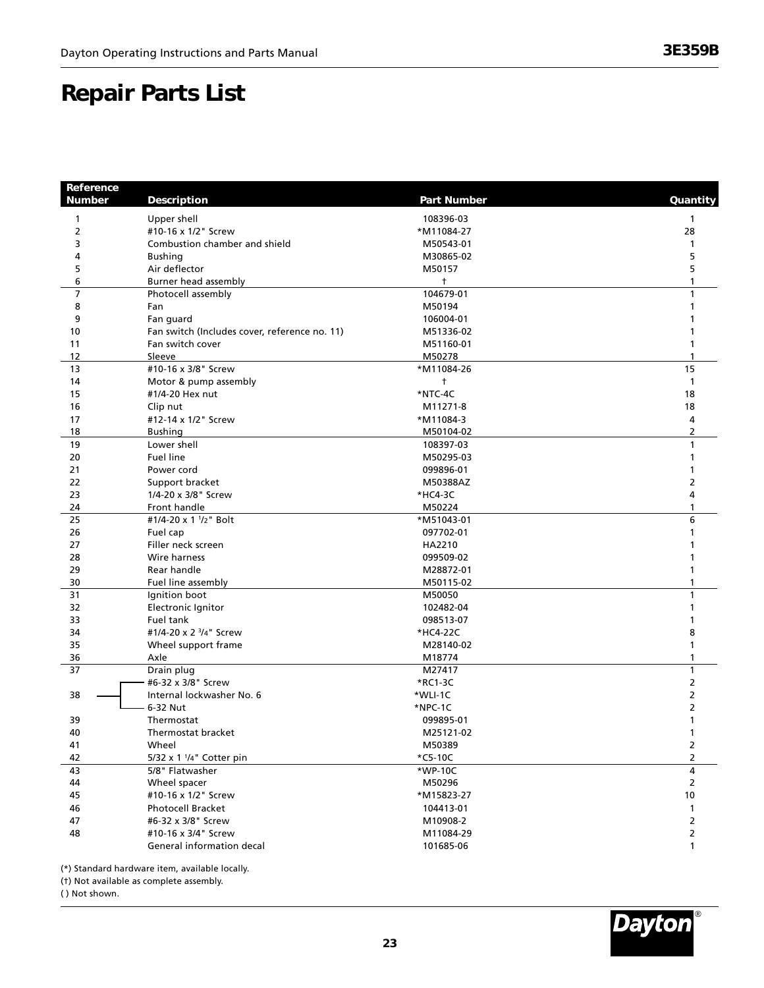### **Danair Darts I ist Repair Parts List**

| Reference<br><b>Number</b> | <b>Description</b>                            | <b>Part Number</b> | Quantity       |
|----------------------------|-----------------------------------------------|--------------------|----------------|
| 1                          | Upper shell                                   | 108396-03          | 1              |
| $\overline{2}$             | #10-16 x 1/2" Screw                           | *M11084-27         | 28             |
| 3                          | Combustion chamber and shield                 | M50543-01          | 1              |
| 4                          | <b>Bushing</b>                                | M30865-02          | 5              |
| 5                          | Air deflector                                 | M50157             | 5              |
| 6                          | Burner head assembly                          | $^{\dagger}$       | 1              |
| $\overline{7}$             | Photocell assembly                            | 104679-01          | 1              |
| 8                          | Fan                                           | M50194             | 1              |
| 9                          | Fan guard                                     | 106004-01          | 1              |
| 10                         | Fan switch (Includes cover, reference no. 11) | M51336-02          |                |
| 11                         | Fan switch cover                              | M51160-01          | 1              |
| 12                         | Sleeve                                        | M50278             | 1              |
| 13                         | #10-16 x 3/8" Screw                           | *M11084-26         | 15             |
| 14                         | Motor & pump assembly                         | $\ddagger$         | $\mathbf{1}$   |
| 15                         | #1/4-20 Hex nut                               | *NTC-4C            | 18             |
| 16                         | Clip nut                                      | M11271-8           | 18             |
| 17                         | #12-14 x 1/2" Screw                           | *M11084-3          | 4              |
| 18                         | <b>Bushing</b>                                | M50104-02          | 2              |
| 19                         | Lower shell                                   | 108397-03          | 1              |
| 20                         | <b>Fuel line</b>                              | M50295-03          | 1              |
| 21                         | Power cord                                    | 099896-01          | 1              |
| 22                         | Support bracket                               | M50388AZ           | 2              |
| 23                         | 1/4-20 x 3/8" Screw                           | *HC4-3C            | 4              |
| 24                         | Front handle                                  | M50224             | 1              |
| 25                         | #1/4-20 x 1 1/2" Bolt                         | *M51043-01         | 6              |
| 26                         | Fuel cap                                      | 097702-01          | 1              |
| 27                         | Filler neck screen                            | HA2210             |                |
| 28                         | Wire harness                                  | 099509-02          |                |
| 29                         | Rear handle                                   | M28872-01          | 1              |
| 30                         | Fuel line assembly                            | M50115-02          | 1              |
| 31                         | Ignition boot                                 | M50050             | 1              |
| 32                         | Electronic Ignitor                            | 102482-04          | 1              |
| 33                         | Fuel tank                                     | 098513-07          | 1              |
| 34                         | #1/4-20 x 2 3/4" Screw                        | *HC4-22C           | 8              |
| 35                         | Wheel support frame                           | M28140-02          | 1              |
| 36                         | Axle                                          | M18774             | 1              |
| 37                         | Drain plug                                    | M27417             | 1              |
|                            | #6-32 x 3/8" Screw                            | *RC1-3C            | $\overline{2}$ |
| 38                         | Internal lockwasher No. 6                     | *WLI-1C            | 2              |
|                            | 6-32 Nut                                      | *NPC-1C            | 2              |
| 39                         | Thermostat                                    | 099895-01          | 1              |
| 40                         | Thermostat bracket                            | M25121-02          | 1              |
| 41                         | Wheel                                         | M50389             | 2              |
| 42                         | 5/32 x 1 <sup>1</sup> /4" Cotter pin          | *C5-10C            | 2              |
| 43                         | 5/8" Flatwasher                               | *WP-10C            | 4              |
| 44                         | Wheel spacer                                  | M50296             | $\overline{2}$ |
| 45                         | #10-16 x 1/2" Screw                           | *M15823-27         | 10             |
| 46                         | <b>Photocell Bracket</b>                      | 104413-01          | $\mathbf{1}$   |
| 47                         | #6-32 x 3/8" Screw                            | M10908-2           | $\overline{2}$ |
| 48                         | #10-16 x 3/4" Screw                           | M11084-29          | $\overline{2}$ |
|                            | General information decal                     | 101685-06          | 1              |

(\*) Standard hardware item, available locally.

(†) Not available as complete assembly.

( ) Not shown.